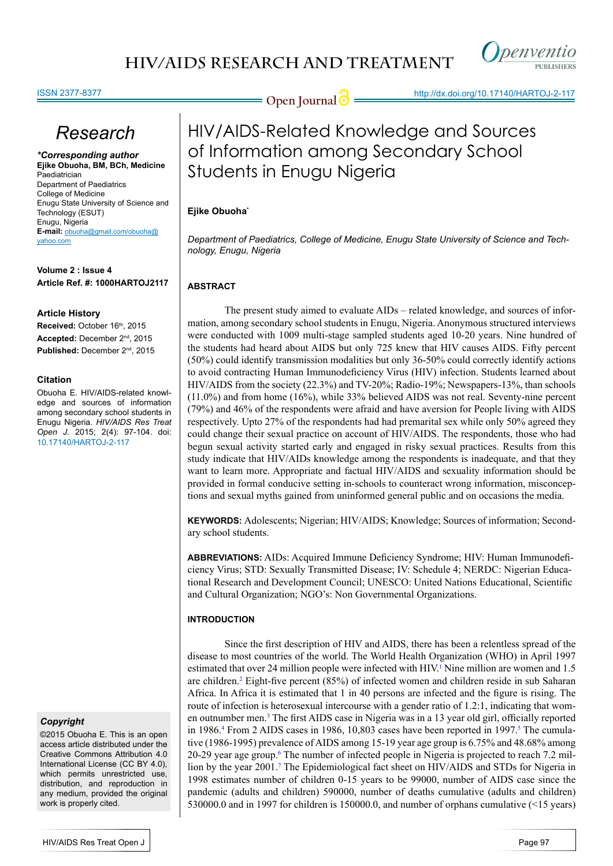

### ISSN 2377-8377

**Open Journal @** http://dx.doi.org/10.17140/HARTOJ-2-117

# *Research*

*\*Corresponding author* **Ejike Obuoha, BM, BCh, Medicine** Paediatrician Department of Paediatrics College of Medicine Enugu State University of Science and Technology (ESUT) Enugu, Nigeria **E-mail:** obuoha@gmail.com/obuoha@ yahoo.com

**Volume 2 : Issue 4 Article Ref. #: 1000HARTOJ2117**

### **Article History**

Received: October 16th, 2015 **Accepted:** December 2nd, 2015 **Published:** December 2nd, 2015

### **Citation**

Obuoha E. HIV/AIDS-related knowledge and sources of information among secondary school students in Enugu Nigeria. *HIV/AIDS Res Treat Open J*. 2015; 2(4): 97-104. doi: [10.17140/HARTOJ-2-117](http://openventio.org/Volume2_Issue4/HIV_AIDS_Related_Knowledge_and_Sources_of_Information_among_Secondary_School_Students_in_Enugu_Nigeria_HARTOJ_2_117.pdf)

### *Copyright*

©2015 Obuoha E. This is an open access article distributed under the Creative Commons Attribution 4.0 International License (CC BY 4.0), which permits unrestricted use. distribution, and reproduction in any medium, provided the original work is properly cited.

# HIV/AIDS-Related Knowledge and Sources of Information among Secondary School Students in Enugu Nigeria

### **Ejike Obuoha\***

*Department of Paediatrics, College of Medicine, Enugu State University of Science and Technology, Enugu, Nigeria*

### **ABSTRACT**

The present study aimed to evaluate AIDs – related knowledge, and sources of information, among secondary school students in Enugu, Nigeria. Anonymous structured interviews were conducted with 1009 multi-stage sampled students aged 10-20 years. Nine hundred of the students had heard about AIDS but only 725 knew that HIV causes AIDS. Fifty percent (50%) could identify transmission modalities but only 36-50% could correctly identify actions to avoid contracting Human Immunodeficiency Virus (HIV) infection. Students learned about HIV/AIDS from the society (22.3%) and TV-20%; Radio-19%; Newspapers-13%, than schools (11.0%) and from home (16%), while 33% believed AIDS was not real. Seventy-nine percent (79%) and 46% of the respondents were afraid and have aversion for People living with AIDS respectively. Upto 27% of the respondents had had premarital sex while only 50% agreed they could change their sexual practice on account of HIV/AIDS. The respondents, those who had begun sexual activity started early and engaged in risky sexual practices. Results from this study indicate that HIV/AIDs knowledge among the respondents is inadequate, and that they want to learn more. Appropriate and factual HIV/AIDS and sexuality information should be provided in formal conducive setting in-schools to counteract wrong information, misconceptions and sexual myths gained from uninformed general public and on occasions the media.

**KEYWORDS:** Adolescents; Nigerian; HIV/AIDS; Knowledge; Sources of information; Secondary school students.

**ABBREVIATIONS:** AIDs: Acquired Immune Deficiency Syndrome; HIV: Human Immunodeficiency Virus; STD: Sexually Transmitted Disease; IV: Schedule 4; NERDC: Nigerian Educational Research and Development Council; UNESCO: United Nations Educational, Scientific and Cultural Organization; NGO's: Non Governmental Organizations.

### **INTRODUCTION**

Since the first description of HIV and AIDS, there has been a relentless spread of the disease to most countries of the world. The World Health Organization (WHO) in April 1997 estimated that over 24 million people were infected with HIV.<sup>[1](#page-6-0)</sup> Nine million are women and 1.5 are children.[2](#page-6-1) Eight-five percent (85%) of infected women and children reside in sub Saharan Africa. In Africa it is estimated that 1 in 40 persons are infected and the figure is rising. The route of infection is heterosexual intercourse with a gender ratio of 1.2:1, indicating that women outnumber men.<sup>3</sup> The first AIDS case in Nigeria was in a 13 year old girl, officially reported in 1986.<sup>[4](#page-6-3)</sup> From 2 AIDS cases in 1986, 10,803 cases have been reported in 1997.<sup>[5](#page-6-4)</sup> The cumulative (1986-1995) prevalence of AIDS among 15-19 year age group is 6.75% and 48.68% among 20-29 year age group. The number of infected people in Nigeria is projected to reach 7.2 million by the year 2001.<sup>7</sup> The Epidemiological fact sheet on HIV/AIDS and STDs for Nigeria in 1998 estimates number of children 0-15 years to be 99000, number of AIDS case since the pandemic (adults and children) 590000, number of deaths cumulative (adults and children) 530000.0 and in 1997 for children is 150000.0, and number of orphans cumulative (<15 years)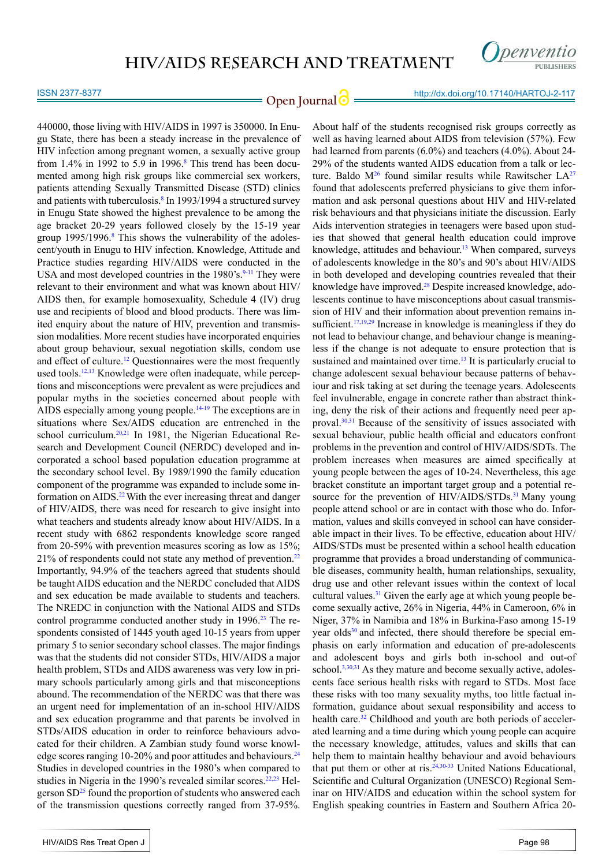

### ISSN 2377-8377

**Open Journal @** http://dx.doi.org/10.17140/HARTOJ-2-117

440000, those living with HIV/AIDS in 1997 is 350000. In Enugu State, there has been a steady increase in the prevalence of HIV infection among pregnant women, a sexually active group from  $1.4\%$  in 1992 to 5.9 in 1996.<sup>[8](#page-6-7)</sup> This trend has been documented among high risk groups like commercial sex workers, patients attending Sexually Transmitted Disease (STD) clinics and patients with tuberculosis.<sup>[8](#page-6-7)</sup> In 1993/1994 a structured survey in Enugu State showed the highest prevalence to be among the age bracket 20-29 years followed closely by the 15-19 year group 1995/1996.<sup>[8](#page-6-7)</sup> This shows the vulnerability of the adolescent/youth in Enugu to HIV infection. Knowledge, Attitude and Practice studies regarding HIV/AIDS were conducted in the USA and most developed countries in the 1980's.<sup>[9-11](#page-6-8)</sup> They were relevant to their environment and what was known about HIV/ AIDS then, for example homosexuality, Schedule 4 (IV) drug use and recipients of blood and blood products. There was limited enquiry about the nature of HIV, prevention and transmission modalities. More recent studies have incorporated enquiries about group behaviour, sexual negotiation skills, condom use and effect of culture.<sup>12</sup> Questionnaires were the most frequently used tools.<sup>12,13</sup> Knowledge were often inadequate, while perceptions and misconceptions were prevalent as were prejudices and popular myths in the societies concerned about people with AIDS especially among young people.<sup>14-19</sup> The exceptions are in situations where Sex/AIDS education are entrenched in the school curriculum.<sup>[20,21](#page-6-11)</sup> In 1981, the Nigerian Educational Research and Development Council (NERDC) developed and incorporated a school based population education programme at the secondary school level. By 1989/1990 the family education component of the programme was expanded to include some in-formation on AIDS.<sup>[22](#page-7-0)</sup> With the ever increasing threat and danger of HIV/AIDS, there was need for research to give insight into what teachers and students already know about HIV/AIDS. In a recent study with 6862 respondents knowledge score ranged from 20-59% with prevention measures scoring as low as 15%; 21% of respondents could not state any method of prevention.[22](#page-7-0) Importantly, 94.9% of the teachers agreed that students should be taught AIDS education and the NERDC concluded that AIDS and sex education be made available to students and teachers. The NREDC in conjunction with the National AIDS and STDs control programme conducted another study in 1996.<sup>23</sup> The respondents consisted of 1445 youth aged 10-15 years from upper primary 5 to senior secondary school classes. The major findings was that the students did not consider STDs, HIV/AIDS a major health problem, STDs and AIDS awareness was very low in primary schools particularly among girls and that misconceptions abound. The recommendation of the NERDC was that there was an urgent need for implementation of an in-school HIV/AIDS and sex education programme and that parents be involved in STDs/AIDS education in order to reinforce behaviours advocated for their children. A Zambian study found worse knowledge scores ranging  $10-20\%$  and poor attitudes and behaviours.<sup>[24](#page-7-2)</sup> Studies in developed countries in the 1980's when compared to studies in Nigeria in the 1990's revealed similar scores.<sup>22,23</sup> Helgerson  $SD<sup>25</sup>$  found the proportion of students who answered each of the transmission questions correctly ranged from 37-95%.

found that adolescents preferred physicians to give them information and ask personal questions about HIV and HIV-related risk behaviours and that physicians initiate the discussion. Early Aids intervention strategies in teenagers were based upon studies that showed that general health education could improve knowledge, attitudes and behaviour.<sup>13</sup> When compared, surveys of adolescents knowledge in the 80's and 90's about HIV/AIDS in both developed and developing countries revealed that their knowledge have improved.<sup>[28](#page-7-6)</sup> Despite increased knowledge, adolescents continue to have misconceptions about casual transmission of HIV and their information about prevention remains insufficient.<sup>17,19,29</sup> Increase in knowledge is meaningless if they do not lead to behaviour change, and behaviour change is meaningless if the change is not adequate to ensure protection that is sustained and maintained over time.<sup>13</sup> It is particularly crucial to change adolescent sexual behaviour because patterns of behaviour and risk taking at set during the teenage years. Adolescents feel invulnerable, engage in concrete rather than abstract thinking, deny the risk of their actions and frequently need peer approval.[30,31](#page-7-7) Because of the sensitivity of issues associated with sexual behaviour, public health official and educators confront problems in the prevention and control of HIV/AIDS/SDTs. The problem increases when measures are aimed specifically at young people between the ages of 10-24. Nevertheless, this age bracket constitute an important target group and a potential resource for the prevention of HIV/AIDS/STDs.<sup>31</sup> Many young people attend school or are in contact with those who do. Information, values and skills conveyed in school can have considerable impact in their lives. To be effective, education about HIV/ AIDS/STDs must be presented within a school health education programme that provides a broad understanding of communicable diseases, community health, human relationships, sexuality, drug use and other relevant issues within the context of local cultural values.<sup>31</sup> Given the early age at which young people become sexually active, 26% in Nigeria, 44% in Cameroon, 6% in Niger, 37% in Namibia and 18% in Burkina-Faso among 15-19 year olds<sup>30</sup> and infected, there should therefore be special emphasis on early information and education of pre-adolescents and adolescent boys and girls both in-school and out-of school.<sup>3,[30](#page-7-7),31</sup> As they mature and become sexually active, adolescents face serious health risks with regard to STDs. Most face these risks with too many sexuality myths, too little factual information, guidance about sexual responsibility and access to health care.<sup>32</sup> Childhood and youth are both periods of accelerated learning and a time during which young people can acquire the necessary knowledge, attitudes, values and skills that can help them to maintain healthy behaviour and avoid behaviours that put them or other at ris.<sup>[24,](#page-7-2)30-33</sup> United Nations Educational, Scientific and Cultural Organization (UNESCO) Regional Seminar on HIV/AIDS and education within the school system for English speaking countries in Eastern and Southern Africa 20-

About half of the students recognised risk groups correctly as well as having learned about AIDS from television (57%). Few had learned from parents (6.0%) and teachers (4.0%). About 24- 29% of the students wanted AIDS education from a talk or lecture. Baldo  $M^{26}$  found similar results while Rawitscher  $LA^{27}$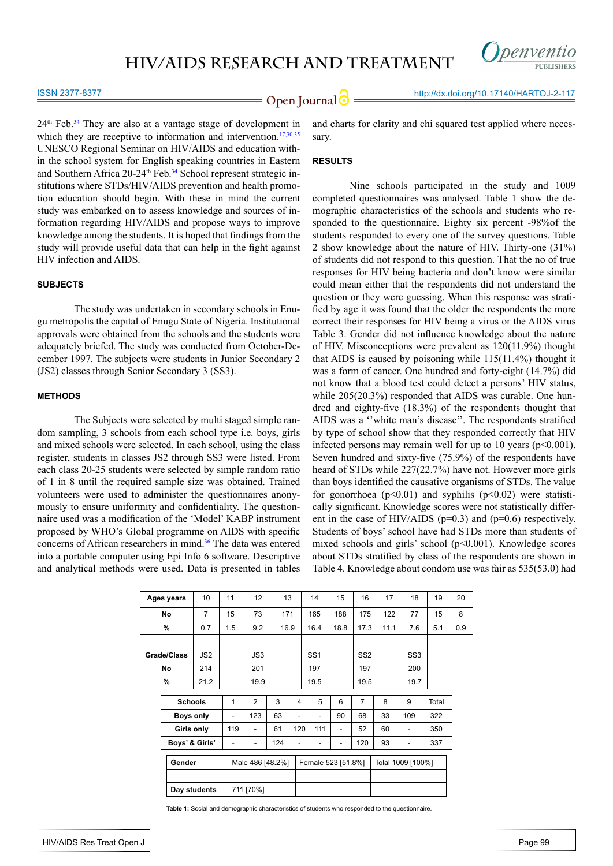

#### ISSN 2377-8377

 $24<sup>th</sup>$  Feb.<sup>34</sup> They are also at a vantage stage of development in which they are receptive to information and intervention.<sup>17,[30](#page-7-7),[35](#page-7-11)</sup> UNESCO Regional Seminar on HIV/AIDS and education within the school system for English speaking countries in Eastern and Southern Africa 20-24<sup>th</sup> Feb.<sup>[34](#page-7-10)</sup> School represent strategic institutions where STDs/HIV/AIDS prevention and health promotion education should begin. With these in mind the current study was embarked on to assess knowledge and sources of information regarding HIV/AIDS and propose ways to improve knowledge among the students. It is hoped that findings from the study will provide useful data that can help in the fight against HIV infection and AIDS.

### **SUBJECTS**

The study was undertaken in secondary schools in Enugu metropolis the capital of Enugu State of Nigeria. Institutional approvals were obtained from the schools and the students were adequately briefed. The study was conducted from October-December 1997. The subjects were students in Junior Secondary 2 (JS2) classes through Senior Secondary 3 (SS3).

### **METHODS**

The Subjects were selected by multi staged simple random sampling, 3 schools from each school type i.e. boys, girls and mixed schools were selected. In each school, using the class register, students in classes JS2 through SS3 were listed. From each class 20-25 students were selected by simple random ratio of 1 in 8 until the required sample size was obtained. Trained volunteers were used to administer the questionnaires anonymously to ensure uniformity and confidentiality. The questionnaire used was a modification of the 'Model' KABP instrument proposed by WHO's Global programme on AIDS with specific concerns of African researchers in mind.<sup>[36](#page-7-12)</sup> The data was entered into a portable computer using Epi Info 6 software. Descriptive and analytical methods were used. Data is presented in tables

and charts for clarity and chi squared test applied where necessary.

### **RESULTS**

Nine schools participated in the study and 1009 completed questionnaires was analysed. Table 1 show the demographic characteristics of the schools and students who responded to the questionnaire. Eighty six percent -98%of the students responded to every one of the survey questions. Table 2 show knowledge about the nature of HIV. Thirty-one (31%) of students did not respond to this question. That the no of true responses for HIV being bacteria and don't know were similar could mean either that the respondents did not understand the question or they were guessing. When this response was stratified by age it was found that the older the respondents the more correct their responses for HIV being a virus or the AIDS virus Table 3. Gender did not influence knowledge about the nature of HIV. Misconceptions were prevalent as 120(11.9%) thought that AIDS is caused by poisoning while 115(11.4%) thought it was a form of cancer. One hundred and forty-eight (14.7%) did not know that a blood test could detect a persons' HIV status, while  $205(20.3%)$  responded that AIDS was curable. One hundred and eighty-five (18.3%) of the respondents thought that AIDS was a ''white man's disease''. The respondents stratified by type of school show that they responded correctly that HIV infected persons may remain well for up to 10 years ( $p<0.001$ ). Seven hundred and sixty-five (75.9%) of the respondents have heard of STDs while 227(22.7%) have not. However more girls than boys identified the causative organisms of STDs. The value for gonorrhoea  $(p<0.01)$  and syphilis  $(p<0.02)$  were statistically significant. Knowledge scores were not statistically different in the case of HIV/AIDS ( $p=0.3$ ) and ( $p=0.6$ ) respectively. Students of boys' school have had STDs more than students of mixed schools and girls' school (p<0.001). Knowledge scores about STDs stratified by class of the respondents are shown in Table 4. Knowledge about condom use was fair as 535(53.0) had

| Ages years   | 10             | 11                                                          | 12   |                             |   | 14                                         |                                            | 15                                                      | 16              | 17                                   | 18  | 19  | 20                                                    |
|--------------|----------------|-------------------------------------------------------------|------|-----------------------------|---|--------------------------------------------|--------------------------------------------|---------------------------------------------------------|-----------------|--------------------------------------|-----|-----|-------------------------------------------------------|
|              | $\overline{7}$ | 15                                                          | 73   |                             |   |                                            |                                            | 188                                                     | 175             | 122                                  | 77  | 15  | 8                                                     |
|              | 0.7            | 1.5                                                         | 9.2  |                             |   |                                            |                                            | 18.8                                                    | 17.3            | 11.1                                 | 7.6 | 5.1 | 0.9                                                   |
|              |                |                                                             |      |                             |   |                                            |                                            |                                                         |                 |                                      |     |     |                                                       |
| Grade/Class  | JS2            |                                                             | JS3  |                             |   |                                            |                                            |                                                         | SS <sub>2</sub> |                                      |     |     |                                                       |
|              | 214            |                                                             | 201  |                             |   |                                            |                                            |                                                         | 197             |                                      | 200 |     |                                                       |
|              | 21.2           |                                                             | 19.9 |                             |   |                                            |                                            |                                                         | 19.5            |                                      |     |     |                                                       |
|              |                |                                                             |      |                             |   |                                            |                                            |                                                         |                 |                                      |     |     |                                                       |
|              |                | 1                                                           |      |                             |   |                                            |                                            |                                                         |                 |                                      |     |     |                                                       |
|              |                | $\overline{\phantom{a}}$                                    | 123  | 63                          | ۰ |                                            |                                            | 90                                                      | 68              | 33                                   | 109 | 322 |                                                       |
|              |                | 119                                                         | ٠    | 61                          |   |                                            |                                            | ٠                                                       | 52              | 60                                   | ٠   | 350 |                                                       |
|              |                | ٠                                                           | ۰    | 124                         | ۰ |                                            |                                            | ۰                                                       | 120             | 93                                   | ۰   | 337 |                                                       |
| Gender       |                |                                                             |      |                             |   |                                            |                                            |                                                         |                 |                                      |     |     |                                                       |
| Day students |                |                                                             |      |                             |   |                                            |                                            |                                                         |                 |                                      |     |     |                                                       |
|              |                | <b>Schools</b><br>Boys only<br>Girls only<br>Boys' & Girls' |      | $\overline{2}$<br>711 [70%] | 3 | 13<br>171<br>16.9<br>4<br>Male 486 [48.2%] | 197<br>120<br>$\qquad \qquad \blacksquare$ | 165<br>16.4<br>SS <sub>1</sub><br>19.5<br>5<br>٠<br>111 | 6               | $\overline{7}$<br>Female 523 [51.8%] | 8   | 9   | SS <sub>3</sub><br>19.7<br>Total<br>Tolal 1009 [100%] |

**Table 1:** Social and demographic characteristics of students who responded to the questionnaire.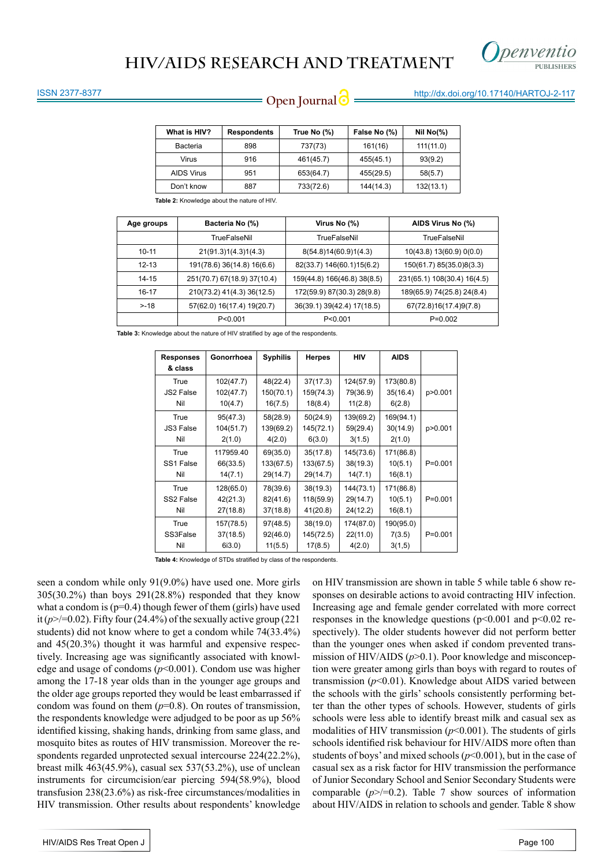

### ISSN 2377-8377

# **Open Journal @** http://dx.doi.org/10.17140/HARTOJ-2-117

| What is HIV?      | <b>Respondents</b> | True No (%) | False No (%) | Nil $No(\%)$ |
|-------------------|--------------------|-------------|--------------|--------------|
| Bacteria          | 898                | 737(73)     | 161(16)      | 111(11.0)    |
| Virus             | 916                | 461(45.7)   | 455(45.1)    | 93(9.2)      |
| <b>AIDS Virus</b> | 951                | 653(64.7)   | 455(29.5)    | 58(5.7)      |
| Don't know        | 887                | 733(72.6)   | 144(14.3)    | 132(13.1)    |

**Table 2:** Knowledge about the nature of HIV

| Age groups | Bacteria No (%)             | Virus No (%)                | AIDS Virus No (%)           |  |
|------------|-----------------------------|-----------------------------|-----------------------------|--|
|            | TrueFalseNil                | TrueFalseNil                | TrueFalseNil                |  |
| $10 - 11$  | 21(91.3)1(4.3)1(4.3)        | 8(54.8)14(60.9)1(4.3)       | 10(43.8) 13(60.9) 0(0.0)    |  |
| $12 - 13$  | 191(78.6) 36(14.8) 16(6.6)  | 82(33.7) 146(60.1)15(6.2)   | 150(61.7) 85(35.0)8(3.3)    |  |
| $14 - 15$  | 251(70.7) 67(18.9) 37(10.4) | 159(44.8) 166(46.8) 38(8.5) | 231(65.1) 108(30.4) 16(4.5) |  |
| 16-17      | 210(73.2) 41(4.3) 36(12.5)  | 172(59.9) 87(30.3) 28(9.8)  | 189(65.9) 74(25.8) 24(8.4)  |  |
| $> -18$    | 57(62.0) 16(17.4) 19(20.7)  | 36(39.1) 39(42.4) 17(18.5)  | 67(72.8)16(17.4)9(7.8)      |  |
|            | P < 0.001                   | P < 0.001                   | $P=0.002$                   |  |

Table 3: Knowledge about the nature of HIV stratified by age of the respondents

| <b>Responses</b> | Gonorrhoea | <b>Syphilis</b> | <b>Herpes</b> | <b>HIV</b> | <b>AIDS</b> |             |
|------------------|------------|-----------------|---------------|------------|-------------|-------------|
| & class          |            |                 |               |            |             |             |
| True             | 102(47.7)  | 48(22.4)        | 37(17.3)      | 124(57.9)  | 173(80.8)   |             |
| JS2 False        | 102(47.7)  | 150(70.1)       | 159(74.3)     | 79(36.9)   | 35(16.4)    | p>0.001     |
| Nil              | 10(4.7)    | 16(7.5)         | 18(8.4)       | 11(2.8)    | 6(2.8)      |             |
| True             | 95(47.3)   | 58(28.9)        | 50(24.9)      | 139(69.2)  | 169(94.1)   |             |
| <b>JS3 False</b> | 104(51.7)  | 139(69.2)       | 145(72.1)     | 59(29.4)   | 30(14.9)    | p>0.001     |
| Nil              | 2(1.0)     | 4(2.0)          | 6(3.0)        | 3(1.5)     | 2(1.0)      |             |
| True             | 117959.40  | 69(35.0)        | 35(17.8)      | 145(73.6)  | 171(86.8)   |             |
| SS1 False        | 66(33.5)   | 133(67.5)       | 133(67.5)     | 38(19.3)   | 10(5.1)     | $P = 0.001$ |
| Nil              | 14(7.1)    | 29(14.7)        | 29(14.7)      | 14(7.1)    | 16(8.1)     |             |
| True             | 128(65.0)  | 78(39.6)        | 38(19.3)      | 144(73.1)  | 171(86.8)   |             |
| SS2 False        | 42(21.3)   | 82(41.6)        | 118(59.9)     | 29(14.7)   | 10(5.1)     | $P = 0.001$ |
| Nil              | 27(18.8)   | 37(18.8)        | 41(20.8)      | 24(12.2)   | 16(8.1)     |             |
| True             | 157(78.5)  | 97(48.5)        | 38(19.0)      | 174(87.0)  | 190(95.0)   |             |
| SS3False         | 37(18.5)   | 92(46.0)        | 145(72.5)     | 22(11.0)   | 7(3.5)      | $P = 0.001$ |
| Nil              | $6i3.0$ )  | 11(5.5)         | 17(8.5)       | 4(2.0)     | 3(1,5)      |             |

Table 4: Knowledge of STDs stratified by class of the respondents

seen a condom while only 91(9.0%) have used one. More girls 305(30.2%) than boys 291(28.8%) responded that they know what a condom is  $(p=0.4)$  though fewer of them (girls) have used it  $(p \geq 0.02)$ . Fifty four (24.4%) of the sexually active group (221) students) did not know where to get a condom while 74(33.4%) and 45(20.3%) thought it was harmful and expensive respectively. Increasing age was significantly associated with knowledge and usage of condoms (*p*<0.001). Condom use was higher among the 17-18 year olds than in the younger age groups and the older age groups reported they would be least embarrassed if condom was found on them  $(p=0.8)$ . On routes of transmission, the respondents knowledge were adjudged to be poor as up 56% identified kissing, shaking hands, drinking from same glass, and mosquito bites as routes of HIV transmission. Moreover the respondents regarded unprotected sexual intercourse 224(22.2%), breast milk 463(45.9%), casual sex 537(53.2%), use of unclean instruments for circumcision/ear piercing 594(58.9%), blood transfusion 238(23.6%) as risk-free circumstances/modalities in HIV transmission. Other results about respondents' knowledge

on HIV transmission are shown in table 5 while table 6 show responses on desirable actions to avoid contracting HIV infection. Increasing age and female gender correlated with more correct responses in the knowledge questions ( $p \le 0.001$  and  $p \le 0.02$  respectively). The older students however did not perform better than the younger ones when asked if condom prevented transmission of HIV/AIDS ( $p$ >0.1). Poor knowledge and misconception were greater among girls than boys with regard to routes of transmission (*p*<0.01). Knowledge about AIDS varied between the schools with the girls' schools consistently performing better than the other types of schools. However, students of girls schools were less able to identify breast milk and casual sex as modalities of HIV transmission (*p*<0.001). The students of girls schools identified risk behaviour for HIV/AIDS more often than students of boys' and mixed schools (*p*<0.001), but in the case of casual sex as a risk factor for HIV transmission the performance of Junior Secondary School and Senior Secondary Students were comparable  $(p$  $>$ /=0.2). Table 7 show sources of information about HIV/AIDS in relation to schools and gender. Table 8 show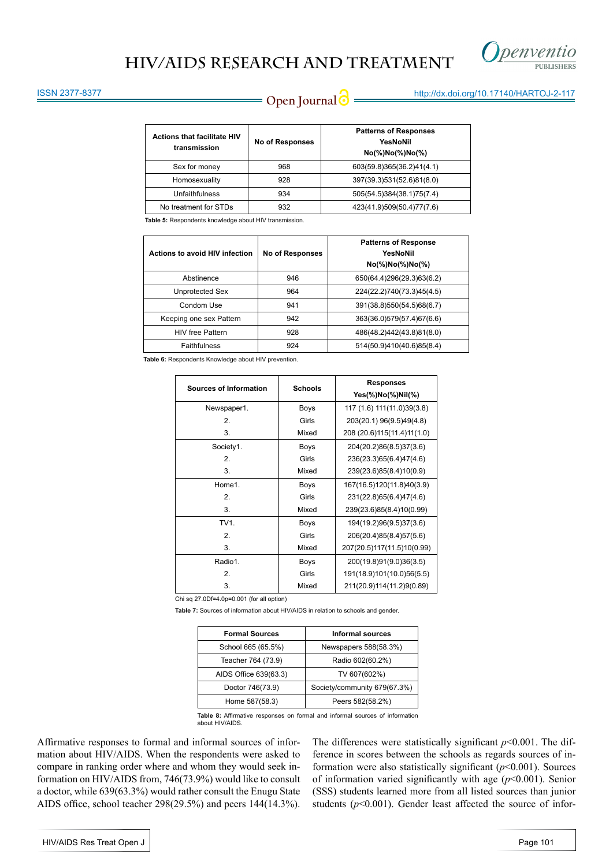

# **Open Journal @** http://dx.doi.org/10.17140/HARTOJ-2-117

### ISSN 2377-8377

| <b>Actions that facilitate HIV</b><br>transmission | <b>No of Responses</b> | <b>Patterns of Responses</b><br>YesNoNil<br>$No(\%)No(\%)No(\%)$ |
|----------------------------------------------------|------------------------|------------------------------------------------------------------|
| Sex for money                                      | 968                    | 603(59.8)365(36.2)41(4.1)                                        |
| Homosexuality                                      | 928                    | 397(39.3)531(52.6)81(8.0)                                        |
| Unfaithfulness                                     | 934                    | 505(54.5)384(38.1)75(7.4)                                        |
| No treatment for STDs                              | 932                    | 423(41.9)509(50.4)77(7.6)                                        |

**Table 5:** Respondents knowledge about HIV transmission.

| Actions to avoid HIV infection | <b>No of Responses</b> | <b>Patterns of Response</b><br>YesNoNil<br>$No(\%)No(\%)No(\%)$ |
|--------------------------------|------------------------|-----------------------------------------------------------------|
| Abstinence                     | 946                    | 650(64.4)296(29.3)63(6.2)                                       |
| Unprotected Sex                | 964                    | 224(22.2)740(73.3)45(4.5)                                       |
| Condom Use                     | 941                    | 391(38.8)550(54.5)68(6.7)                                       |
| Keeping one sex Pattern        | 942                    | 363(36.0)579(57.4)67(6.6)                                       |
| <b>HIV</b> free Pattern        | 928                    | 486(48.2)442(43.8)81(8.0)                                       |
| Faithfulness                   | 924                    | 514(50.9)410(40.6)85(8.4)                                       |

**Table 6:** Respondents Knowledge about HIV prevention.

|                               |                | <b>Responses</b>              |  |  |
|-------------------------------|----------------|-------------------------------|--|--|
| <b>Sources of Information</b> | <b>Schools</b> | Yes(%)No(%)Nil(%)             |  |  |
| Newspaper1.                   | Boys           | 117 (1.6) 111 (11.0) 39 (3.8) |  |  |
| 2.                            | Girls          | 203(20.1) 96(9.5)49(4.8)      |  |  |
| 3.                            | Mixed          | 208 (20.6)115(11.4)11(1.0)    |  |  |
| Society1.                     | Boys           | 204(20.2)86(8.5)37(3.6)       |  |  |
| 2.                            | Girls          | 236(23.3)65(6.4)47(4.6)       |  |  |
| 3.                            | Mixed          | 239(23.6)85(8.4)10(0.9)       |  |  |
| Home1.                        | Boys           | 167(16.5)120(11.8)40(3.9)     |  |  |
| 2.                            | Girls          | 231(22.8)65(6.4)47(4.6)       |  |  |
| 3.                            | Mixed          | 239(23.6)85(8.4)10(0.99)      |  |  |
| TV1.                          | Boys           | 194(19.2)96(9.5)37(3.6)       |  |  |
| 2.                            | Girls          | 206(20.4)85(8.4)57(5.6)       |  |  |
| 3.                            | Mixed          | 207(20.5)117(11.5)10(0.99)    |  |  |
| Radio1.                       | Boys           | 200(19.8)91(9.0)36(3.5)       |  |  |
| 2.                            | Girls          | 191(18.9)101(10.0)56(5.5)     |  |  |
| 3.                            | Mixed          | 211(20.9)114(11.2)9(0.89)     |  |  |

Chi sq 27.0Df=4.0p=0.001 (for all option)

**Table 7:** Sources of information about HIV/AIDS in relation to schools and gender.

| <b>Formal Sources</b> | <b>Informal sources</b>      |  |  |
|-----------------------|------------------------------|--|--|
| School 665 (65.5%)    | Newspapers 588(58.3%)        |  |  |
| Teacher 764 (73.9)    | Radio 602(60.2%)             |  |  |
| AIDS Office 639(63.3) | TV 607(602%)                 |  |  |
| Doctor 746(73.9)      | Society/community 679(67.3%) |  |  |
| Home 587(58.3)        | Peers 582(58.2%)             |  |  |

**Table 8:** Affirmative responses on formal and informal sources of information about HIV/AIDS.

Affirmative responses to formal and informal sources of information about HIV/AIDS. When the respondents were asked to compare in ranking order where and whom they would seek information on HIV/AIDS from, 746(73.9%) would like to consult a doctor, while 639(63.3%) would rather consult the Enugu State AIDS office, school teacher 298(29.5%) and peers 144(14.3%).

The differences were statistically significant  $p$ <0.001. The difference in scores between the schools as regards sources of information were also statistically significant (*p*<0.001). Sources of information varied significantly with age (*p*<0.001). Senior (SSS) students learned more from all listed sources than junior students  $(p<0.001)$ . Gender least affected the source of infor-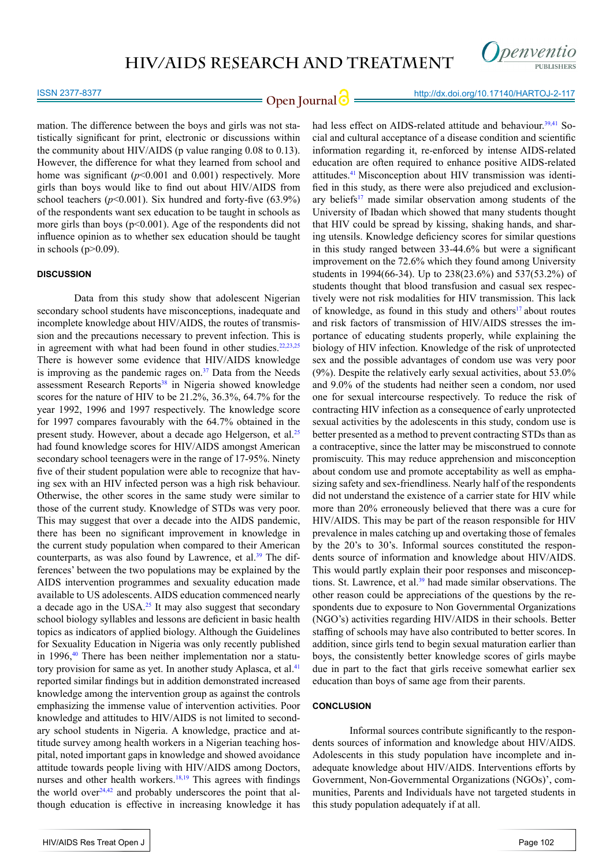

### ISSN 2377-8377

# **Open Journal @** http://dx.doi.org/10.17140/HARTOJ-2-117

mation. The difference between the boys and girls was not statistically significant for print, electronic or discussions within the community about HIV/AIDS (p value ranging 0.08 to 0.13). However, the difference for what they learned from school and home was significant  $(p<0.001$  and  $0.001)$  respectively. More girls than boys would like to find out about HIV/AIDS from school teachers  $(p<0.001)$ . Six hundred and forty-five  $(63.9\%)$ of the respondents want sex education to be taught in schools as more girls than boys  $(p<0.001)$ . Age of the respondents did not influence opinion as to whether sex education should be taught in schools  $(p>0.09)$ .

### **DISCUSSION**

Data from this study show that adolescent Nigerian secondary school students have misconceptions, inadequate and incomplete knowledge about HIV/AIDS, the routes of transmission and the precautions necessary to prevent infection. This is in agreement with what had been found in other studies.<sup>22,23,[25](#page-7-3)</sup> There is however some evidence that HIV/AIDS knowledge is improving as the pandemic rages on. $37$  Data from the Needs assessment Research Reports<sup>[38](#page-7-14)</sup> in Nigeria showed knowledge scores for the nature of HIV to be 21.2%, 36.3%, 64.7% for the year 1992, 1996 and 1997 respectively. The knowledge score for 1997 compares favourably with the 64.7% obtained in the present study. However, about a decade ago Helgerson, et al.<sup>[25](#page-7-3)</sup> had found knowledge scores for HIV/AIDS amongst American secondary school teenagers were in the range of 17-95%. Ninety five of their student population were able to recognize that having sex with an HIV infected person was a high risk behaviour. Otherwise, the other scores in the same study were similar to those of the current study. Knowledge of STDs was very poor. This may suggest that over a decade into the AIDS pandemic, there has been no significant improvement in knowledge in the current study population when compared to their American counterparts, as was also found by Lawrence, et al.<sup>39</sup> The differences' between the two populations may be explained by the AIDS intervention programmes and sexuality education made available to US adolescents. AIDS education commenced nearly a decade ago in the USA[.25](#page-7-3) It may also suggest that secondary school biology syllables and lessons are deficient in basic health topics as indicators of applied biology. Although the Guidelines for Sexuality Education in Nigeria was only recently published in 1996, $40$  There has been neither implementation nor a statu-tory provision for same as yet. In another study Aplasca, et al.<sup>[41](#page-7-17)</sup> reported similar findings but in addition demonstrated increased knowledge among the intervention group as against the controls emphasizing the immense value of intervention activities. Poor knowledge and attitudes to HIV/AIDS is not limited to secondary school students in Nigeria. A knowledge, practice and attitude survey among health workers in a Nigerian teaching hospital, noted important gaps in knowledge and showed avoidance attitude towards people living with HIV/AIDS among Doctors, nurses and other health workers.<sup>18,19</sup> This agrees with findings the world over<sup>[24,](#page-7-2)42</sup> and probably underscores the point that although education is effective in increasing knowledge it has

had less effect on AIDS-related attitude and behaviour.<sup>[39,](#page-7-15)[41](#page-7-17)</sup> Social and cultural acceptance of a disease condition and scientific information regarding it, re-enforced by intense AIDS-related education are often required to enhance positive AIDS-related attitudes[.41](#page-7-17) Misconception about HIV transmission was identified in this study, as there were also prejudiced and exclusionary beliefs<sup>17</sup> made similar observation among students of the University of Ibadan which showed that many students thought that HIV could be spread by kissing, shaking hands, and sharing utensils. Knowledge deficiency scores for similar questions in this study ranged between 33-44.6% but were a significant improvement on the 72.6% which they found among University students in 1994(66-34). Up to 238(23.6%) and 537(53.2%) of students thought that blood transfusion and casual sex respectively were not risk modalities for HIV transmission. This lack of knowledge, as found in this study and others<sup>17</sup> about routes and risk factors of transmission of HIV/AIDS stresses the importance of educating students properly, while explaining the biology of HIV infection. Knowledge of the risk of unprotected sex and the possible advantages of condom use was very poor (9%). Despite the relatively early sexual activities, about 53.0% and 9.0% of the students had neither seen a condom, nor used one for sexual intercourse respectively. To reduce the risk of contracting HIV infection as a consequence of early unprotected sexual activities by the adolescents in this study, condom use is better presented as a method to prevent contracting STDs than as a contraceptive, since the latter may be misconstrued to connote promiscuity. This may reduce apprehension and misconception about condom use and promote acceptability as well as emphasizing safety and sex-friendliness. Nearly half of the respondents did not understand the existence of a carrier state for HIV while more than 20% erroneously believed that there was a cure for HIV/AIDS. This may be part of the reason responsible for HIV prevalence in males catching up and overtaking those of females by the 20's to 30's. Informal sources constituted the respondents source of information and knowledge about HIV/AIDS. This would partly explain their poor responses and misconceptions. St. Lawrence, et al.<sup>39</sup> had made similar observations. The other reason could be appreciations of the questions by the respondents due to exposure to Non Governmental Organizations (NGO's) activities regarding HIV/AIDS in their schools. Better staffing of schools may have also contributed to better scores. In addition, since girls tend to begin sexual maturation earlier than boys, the consistently better knowledge scores of girls maybe due in part to the fact that girls receive somewhat earlier sex education than boys of same age from their parents.

### **CONCLUSION**

Informal sources contribute significantly to the respondents sources of information and knowledge about HIV/AIDS. Adolescents in this study population have incomplete and inadequate knowledge about HIV/AIDS. Interventions efforts by Government, Non-Governmental Organizations (NGOs)', communities, Parents and Individuals have not targeted students in this study population adequately if at all.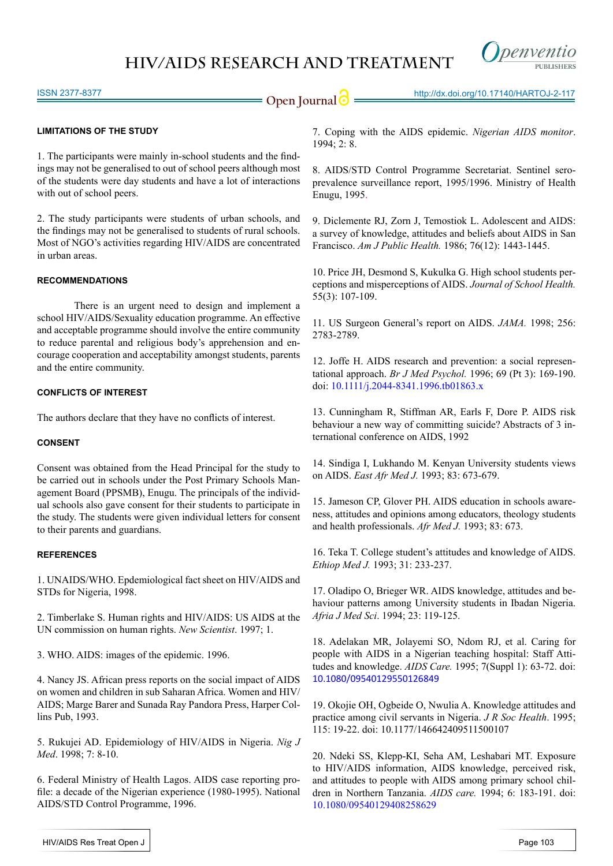

### ISSN 2377-8377

### **LIMITATIONS OF THE STUDY**

1. The participants were mainly in-school students and the findings may not be generalised to out of school peers although most of the students were day students and have a lot of interactions with out of school peers.

2. The study participants were students of urban schools, and the findings may not be generalised to students of rural schools. Most of NGO's activities regarding HIV/AIDS are concentrated in urban areas.

### **RECOMMENDATIONS**

There is an urgent need to design and implement a school HIV/AIDS/Sexuality education programme. An effective and acceptable programme should involve the entire community to reduce parental and religious body's apprehension and encourage cooperation and acceptability amongst students, parents and the entire community.

### **CONFLICTS OF INTEREST**

The authors declare that they have no conflicts of interest.

### **CONSENT**

Consent was obtained from the Head Principal for the study to be carried out in schools under the Post Primary Schools Management Board (PPSMB), Enugu. The principals of the individual schools also gave consent for their students to participate in the study. The students were given individual letters for consent to their parents and guardians.

### **REFERENCES**

<span id="page-6-0"></span>1. UNAIDS/WHO. Epdemiological fact sheet on HIV/AIDS and STDs for Nigeria, 1998.

<span id="page-6-1"></span>2. Timberlake S. Human rights and HIV/AIDS: US AIDS at the UN commission on human rights. *New Scientist*. 1997; 1.

<span id="page-6-2"></span>3. WHO. AIDS: images of the epidemic. 1996.

<span id="page-6-3"></span>4. Nancy JS. African press reports on the social impact of AIDS on women and children in sub Saharan Africa. Women and HIV/ AIDS; Marge Barer and Sunada Ray Pandora Press, Harper Collins Pub, 1993.

<span id="page-6-4"></span>5. Rukujei AD. Epidemiology of HIV/AIDS in Nigeria. *Nig J Med*. 1998; 7: 8-10.

<span id="page-6-5"></span>6. Federal Ministry of Health Lagos. AIDS case reporting profile: a decade of the Nigerian experience (1980-1995). National AIDS/STD Control Programme, 1996.

<span id="page-6-6"></span>7. Coping with the AIDS epidemic. *Nigerian AIDS monitor*. 1994; 2: 8.

<span id="page-6-7"></span>8. AIDS/STD Control Programme Secretariat. Sentinel seroprevalence surveillance report, 1995/1996. Ministry of Health Enugu, 1995.

<span id="page-6-8"></span>9. Diclemente RJ, Zorn J, Temostiok L. Adolescent and AIDS: a survey of knowledge, attitudes and beliefs about AIDS in San Francisco. *Am J Public Health.* 1986; 76(12): 1443-1445.

10. Price JH, Desmond S, Kukulka G. High school students perceptions and misperceptions of AIDS. *Journal of School Health.* 55(3): 107-109.

11. US Surgeon General's report on AIDS. *JAMA.* 1998; 256: 2783-2789.

<span id="page-6-9"></span>12. Joffe H. AIDS research and prevention: a social representational approach. *Br J Med Psychol.* 1996; 69 (Pt 3): 169-190. doi: [10.1111/j.2044-8341.1996.tb01863.x](http://onlinelibrary.wiley.com/doi/10.1111/j.2044-8341.1996.tb01863.x/abstract)

<span id="page-6-12"></span>13. Cunningham R, Stiffman AR, Earls F, Dore P. AIDS risk behaviour a new way of committing suicide? Abstracts of 3 international conference on AIDS, 1992

<span id="page-6-10"></span>14. Sindiga I, Lukhando M. Kenyan University students views on AIDS. *East Afr Med J.* 1993; 83: 673-679.

15. Jameson CP, Glover PH. AIDS education in schools awareness, attitudes and opinions among educators, theology students and health professionals. *Afr Med J.* 1993; 83: 673.

16. Teka T. College student's attitudes and knowledge of AIDS. *Ethiop Med J.* 1993; 31: 233-237.

<span id="page-6-13"></span>17. Oladipo O, Brieger WR. AIDS knowledge, attitudes and behaviour patterns among University students in Ibadan Nigeria. *Afria J Med Sci*. 1994; 23: 119-125.

<span id="page-6-14"></span>18. Adelakan MR, Jolayemi SO, Ndom RJ, et al. Caring for people with AIDS in a Nigerian teaching hospital: Staff Attitudes and knowledge. *AIDS Care.* 1995; 7(Suppl 1): 63-72. doi: [10.1080/09540129550126849](http://www.tandfonline.com/doi/abs/10.1080/09540129550126849)

19. Okojie OH, Ogbeide O, Nwulia A. Knowledge attitudes and practice among civil servants in Nigeria. *J R Soc Health*. 1995; 115: 19-22. doi: [10.1177/146642409511500107](http://rsh.sagepub.com/content/115/1/19.long)

<span id="page-6-11"></span>20. Ndeki SS, Klepp-KI, Seha AM, Leshabari MT. Exposure to HIV/AIDS information, AIDS knowledge, perceived risk, and attitudes to people with AIDS among primary school children in Northern Tanzania. *AIDS care.* 1994; 6: 183-191. doi: [10.1080/09540129408258629](http://www.tandfonline.com/doi/abs/10.1080/09540129408258629%3FjournalCode%3Dcaic20)